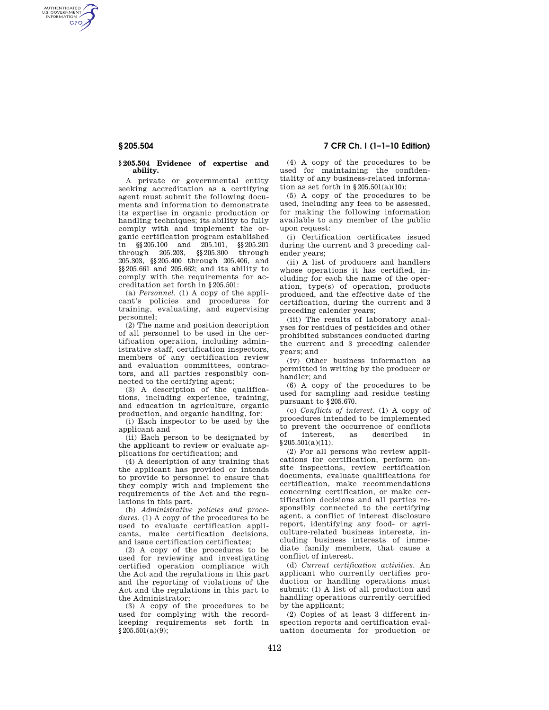AUTHENTICATED<br>U.S. GOVERNMENT<br>INFORMATION **GPO** 

## **§ 205.504 Evidence of expertise and ability.**

A private or governmental entity seeking accreditation as a certifying agent must submit the following documents and information to demonstrate its expertise in organic production or handling techniques; its ability to fully comply with and implement the organic certification program established in §§205.100 and 205.101, §§205.201 through 205.203, §§205.300 through 205.303, §§205.400 through 205.406, and §§205.661 and 205.662; and its ability to comply with the requirements for accreditation set forth in §205.501:

(a) *Personnel.* (1) A copy of the applicant's policies and procedures for training, evaluating, and supervising personnel;

(2) The name and position description of all personnel to be used in the certification operation, including administrative staff, certification inspectors, members of any certification review and evaluation committees, contractors, and all parties responsibly connected to the certifying agent;

(3) A description of the qualifications, including experience, training, and education in agriculture, organic production, and organic handling, for:

(i) Each inspector to be used by the applicant and

(ii) Each person to be designated by the applicant to review or evaluate applications for certification; and

(4) A description of any training that the applicant has provided or intends to provide to personnel to ensure that they comply with and implement the requirements of the Act and the regulations in this part.

(b) *Administrative policies and proce*dures. (1) A copy of the procedures to be used to evaluate certification applicants, make certification decisions, and issue certification certificates;

(2) A copy of the procedures to be used for reviewing and investigating certified operation compliance with the Act and the regulations in this part and the reporting of violations of the Act and the regulations in this part to the Administrator;

(3) A copy of the procedures to be used for complying with the recordkeeping requirements set forth in §205.501(a)(9);

(4) A copy of the procedures to be used for maintaining the confiden-

tiality of any business-related information as set forth in  $§205.501(a)(10);$ (5) A copy of the procedures to be used, including any fees to be assessed,

for making the following information available to any member of the public upon request:

(i) Certification certificates issued during the current and 3 preceding calender years;

(ii) A list of producers and handlers whose operations it has certified, including for each the name of the operation, type(s) of operation, products produced, and the effective date of the certification, during the current and 3 preceding calender years;

(iii) The results of laboratory analyses for residues of pesticides and other prohibited substances conducted during the current and 3 preceding calender years; and

(iv) Other business information as permitted in writing by the producer or handler; and

(6) A copy of the procedures to be used for sampling and residue testing pursuant to §205.670.

(c) *Conflicts of interest.* (1) A copy of procedures intended to be implemented to prevent the occurrence of conflicts of interest, as described in  $§ 205.501(a)(11).$ 

(2) For all persons who review applications for certification, perform onsite inspections, review certification documents, evaluate qualifications for certification, make recommendations concerning certification, or make certification decisions and all parties responsibly connected to the certifying agent, a conflict of interest disclosure report, identifying any food- or agriculture-related business interests, including business interests of immediate family members, that cause a conflict of interest.

(d) *Current certification activities.* An applicant who currently certifies production or handling operations must submit: (1) A list of all production and handling operations currently certified by the applicant;

(2) Copies of at least 3 different inspection reports and certification evaluation documents for production or

# **§ 205.504 7 CFR Ch. I (1–1–10 Edition)**